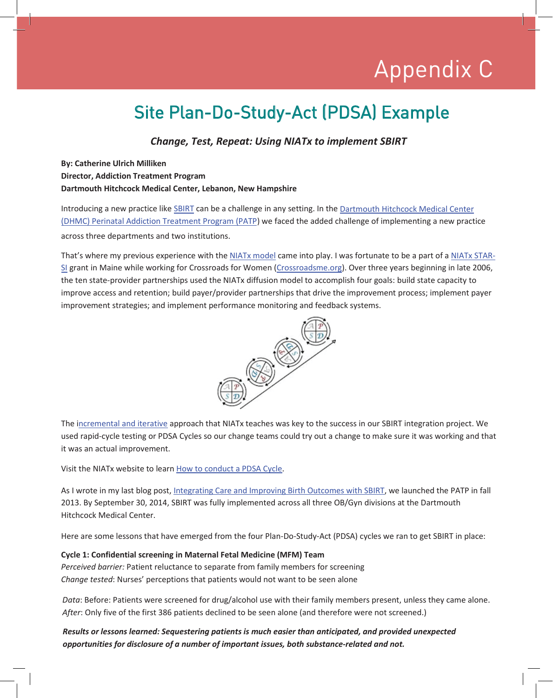# Appendix C Appendix C

### Site Plan-Do-Study-Act (PDSA) Example

*Change, Test, Repeat: Using NIATx to implement SBIRT*

#### **By: Catherine Ulrich Milliken Director, Addiction Treatment Program Dartmouth Hitchcock Medical Center, Lebanon, New Hampshire**

Introducing a new practice like SBIRT can be a challenge in any setting. In the Dartmouth Hitchcock Medical Center (DHMC) Perinatal Addiction Treatment Program (PATP) we faced the added challenge of implementing a new practice across three departments and two institutions.

That's where my previous experience with the NIATx model came into play. I was fortunate to be a part of a NIATx STAR-SI grant in Maine while working for Crossroads for Women (Crossroadsme.org). Over three years beginning in late 2006, the ten state-provider partnerships used the NIATx diffusion model to accomplish four goals: build state capacity to improve access and retention; build payer/provider partnerships that drive the improvement process; implement payer improvement strategies; and implement performance monitoring and feedback systems.



The incremental and iterative approach that NIATx teaches was key to the success in our SBIRT integration project. We used rapid-cycle testing or PDSA Cycles so our change teams could try out a change to make sure it was working and that it was an actual improvement.

Visit the NIATx website to learn How to conduct a PDSA Cycle.

As I wrote in my last blog post, Integrating Care and Improving Birth Outcomes with SBIRT, we launched the PATP in fall 2013. By September 30, 2014, SBIRT was fully implemented across all three OB/Gyn divisions at the Dartmouth Hitchcock Medical Center.

Here are some lessons that have emerged from the four Plan-Do-Study-Act (PDSA) cycles we ran to get SBIRT in place:

#### **Cycle 1: Confidential screening in Maternal Fetal Medicine (MFM) Team**

*Perceived barrier:* Patient reluctance to separate from family members for screening *Change tested*: Nurses' perceptions that patients would not want to be seen alone

*Data*: Before: Patients were screened for drug/alcohol use with their family members present, unless they came alone. *After*: Only five of the first 386 patients declined to be seen alone (and therefore were not screened.)

*Results or lessons learned: Sequestering patients is much easier than anticipated, and provided unexpected opportunities for disclosure of a number of important issues, both substance-related and not.*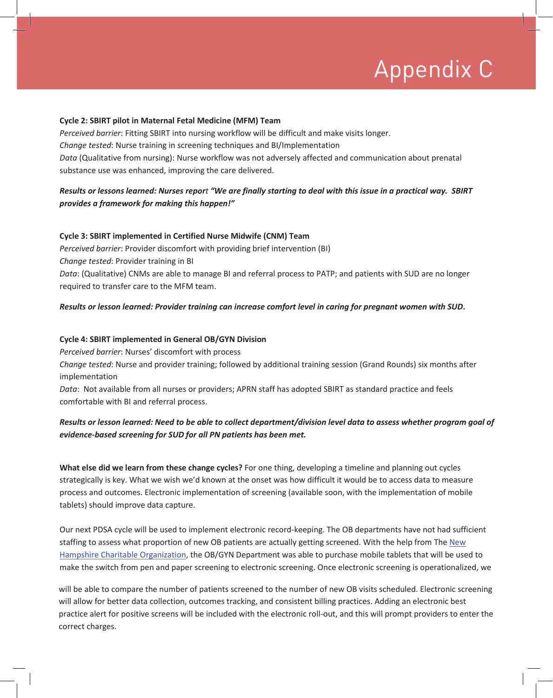# Appendix C

#### **Cycle 2: SBIRT pilot in Maternal Fetal Medicine (MFM) Team**

*Perceived barrier*: Fitting SBIRT into nursing workflow will be difficult and make visits longer. *Change tested*: Nurse training in screening techniques and BI/Implementation *Data* (Qualitative from nursing): Nurse workflow was not adversely affected and communication about prenatal substance use was enhanced, improving the care delivered.

#### *Results or lessons learned: Nurses report "We are finally starting to deal with this issue in a practical way. SBIRT provides a framework for making this happen!"*

#### **Cycle 3: SBIRT implemented in Certified Nurse Midwife (CNM) Team**

*Perceived barrier*: Provider discomfort with providing brief intervention (BI) *Change tested*: Provider training in BI *Data*: (Qualitative) CNMs are able to manage BI and referral process to PATP; and patients with SUD are no longer required to transfer care to the MFM team.

#### *Results or lesson learned: Provider training can increase comfort level in caring for pregnant women with SUD***.**

#### **Cycle 4: SBIRT implemented in General OB/GYN Division**

*Perceived barrier*: Nurses' discomfort with process

*Change tested*: Nurse and provider training; followed by additional training session (Grand Rounds) six months after implementation

*Data*: Not available from all nurses or providers; APRN staff has adopted SBIRT as standard practice and feels comfortable with BI and referral process.

#### *Results or lesson learned: Need to be able to collect department/division level data to assess whether program goal of evidence-based screening for SUD for all PN patients has been met.*

**What else did we learn from these change cycles?** For one thing, developing a timeline and planning out cycles strategically is key. What we wish we'd known at the onset was how difficult it would be to access data to measure process and outcomes. Electronic implementation of screening (available soon, with the implementation of mobile tablets) should improve data capture.

Our next PDSA cycle will be used to implement electronic record-keeping. The OB departments have not had sufficient staffing to assess what proportion of new OB patients are actually getting screened. With the help from The New Hampshire Charitable Organization, the OB/GYN Department was able to purchase mobile tablets that will be used to make the switch from pen and paper screening to electronic screening. Once electronic screening is operationalized, we

will be able to compare the number of patients screened to the number of new OB visits scheduled. Electronic screening will allow for better data collection, outcomes tracking, and consistent billing practices. Adding an electronic best practice alert for positive screens will be included with the electronic roll-out, and this will prompt providers to enter the correct charges.